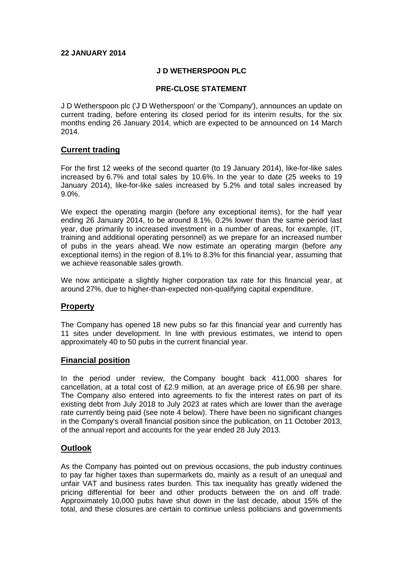### **22 JANUARY 2014**

### **J D WETHERSPOON PLC**

#### **PRE-CLOSE STATEMENT**

J D Wetherspoon plc ('J D Wetherspoon' or the 'Company'), announces an update on current trading, before entering its closed period for its interim results, for the six months ending 26 January 2014, which are expected to be announced on 14 March 2014.

# **Current trading**

For the first 12 weeks of the second quarter (to 19 January 2014), like-for-like sales increased by 6.7% and total sales by 10.6%. In the year to date (25 weeks to 19 January 2014), like-for-like sales increased by 5.2% and total sales increased by 9.0%.

We expect the operating margin (before any exceptional items), for the half year ending 26 January 2014, to be around 8.1%, 0.2% lower than the same period last year, due primarily to increased investment in a number of areas, for example, (IT, training and additional operating personnel) as we prepare for an increased number of pubs in the years ahead. We now estimate an operating margin (before any exceptional items) in the region of 8.1% to 8.3% for this financial year, assuming that we achieve reasonable sales growth.

We now anticipate a slightly higher corporation tax rate for this financial year, at around 27%, due to higher-than-expected non-qualifying capital expenditure.

# **Property**

The Company has opened 18 new pubs so far this financial year and currently has 11 sites under development. In line with previous estimates, we intend to open approximately 40 to 50 pubs in the current financial year.

#### **Financial position**

In the period under review, the Company bought back 411,000 shares for cancellation, at a total cost of £2.9 million, at an average price of £6.98 per share. The Company also entered into agreements to fix the interest rates on part of its existing debt from July 2018 to July 2023 at rates which are lower than the average rate currently being paid (see note 4 below). There have been no significant changes in the Company's overall financial position since the publication, on 11 October 2013, of the annual report and accounts for the year ended 28 July 2013.

# **Outlook**

As the Company has pointed out on previous occasions, the pub industry continues to pay far higher taxes than supermarkets do, mainly as a result of an unequal and unfair VAT and business rates burden. This tax inequality has greatly widened the pricing differential for beer and other products between the on and off trade. Approximately 10,000 pubs have shut down in the last decade, about 15% of the total, and these closures are certain to continue unless politicians and governments